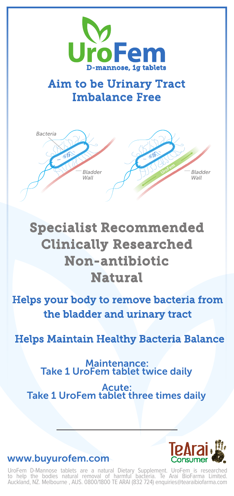

## Aim to be Urinary Tract Imbalance Free



# Specialist Recommended Clinically Researched Non-antibiotic Natural

Helps your body to remove bacteria from the bladder and urinary tract

Helps Maintain Healthy Bacteria Balance

Maintenance: Take 1 UroFem tablet twice daily

Acute: Take 1 UroFem tablet three times daily



www.buyurofem.com

UroFem D-Mannose tablets are a natural Dietary Supplement. UroFem is researched<br>to help the bodies natural removal of harmful bacteria. Te Arai BioFarma Limited.<br>Auckland, NZ. Melbourne , AUS. 0800/1800 TE ARAI (832 724) e